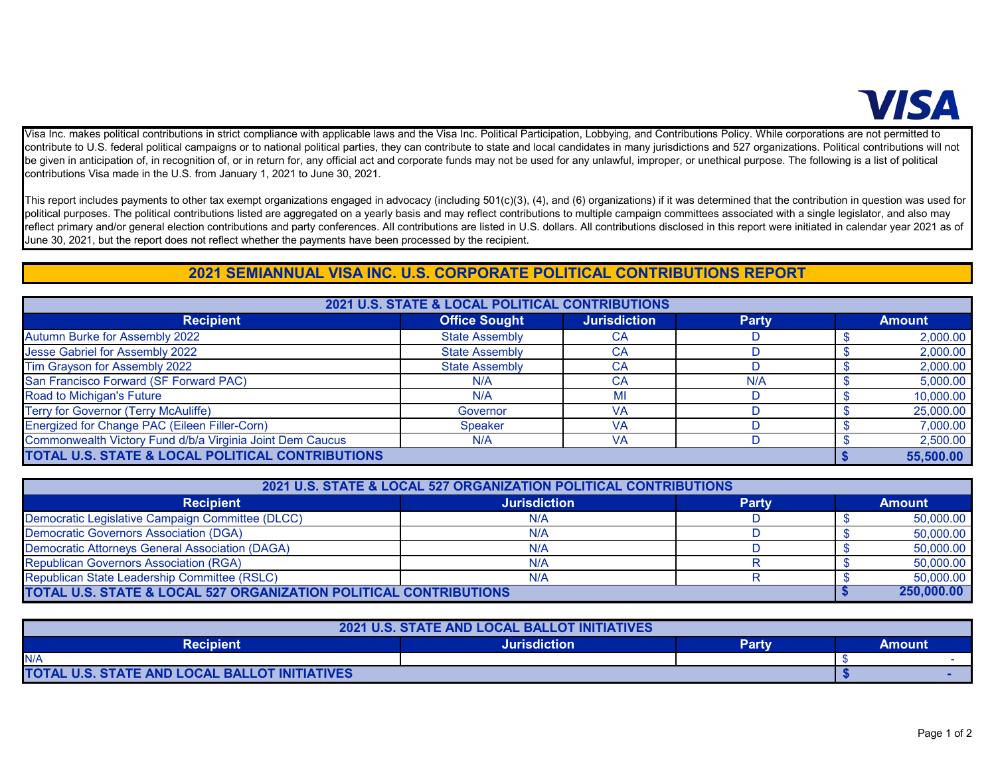

Visa Inc. makes political contributions in strict compliance with applicable laws and the Visa Inc. Political Participation, Lobbying, and Contributions Policy. While corporations are not permitted to contribute to U.S. federal political campaigns or to national political parties, they can contribute to state and local candidates in many jurisdictions and 527 organizations. Political contributions will not be given in anticipation of, in recognition of, or in return for, any official act and corporate funds may not be used for any unlawful, improper, or unethical purpose. The following is a list of political contributions Visa made in the U.S. from January 1, 2021 to June 30, 2021.

This report includes payments to other tax exempt organizations engaged in advocacy (including 501(c)(3), (4), and (6) organizations) if it was determined that the contribution in question was used for political purposes. The political contributions listed are aggregated on a yearly basis and may reflect contributions to multiple campaign committees associated with a single legislator, and also may reflect primary and/or general election contributions and party conferences. All contributions are listed in U.S. dollars. All contributions disclosed in this report were initiated in calendar year 2021 as of June 30, 2021, but the report does not reflect whether the payments have been processed by the recipient.

## **2021 SEMIANNUAL VISA INC. U.S. CORPORATE POLITICAL CONTRIBUTIONS REPORT**

| 2021 U.S. STATE & LOCAL POLITICAL CONTRIBUTIONS           |                       |                     |              |  |               |  |
|-----------------------------------------------------------|-----------------------|---------------------|--------------|--|---------------|--|
| <b>Recipient</b>                                          | <b>Office Sought</b>  | <b>Jurisdiction</b> | <b>Party</b> |  | <b>Amount</b> |  |
| <b>Autumn Burke for Assembly 2022</b>                     | <b>State Assembly</b> | CА                  |              |  | 2,000.00      |  |
| Jesse Gabriel for Assembly 2022                           | <b>State Assembly</b> | CA                  |              |  | 2,000.00      |  |
| Tim Grayson for Assembly 2022                             | <b>State Assembly</b> | CA                  |              |  | 2,000.00      |  |
| San Francisco Forward (SF Forward PAC)                    | N/A                   | СA                  | N/A          |  | 5,000.00      |  |
| Road to Michigan's Future                                 | N/A                   | МI                  |              |  | 10,000.00     |  |
| <b>Terry for Governor (Terry McAuliffe)</b>               | Governor              | VA                  |              |  | 25,000.00     |  |
| Energized for Change PAC (Eileen Filler-Corn)             | <b>Speaker</b>        | VA                  |              |  | 7,000.00      |  |
| Commonwealth Victory Fund d/b/a Virginia Joint Dem Caucus | N/A                   | VA                  |              |  | 2,500.00      |  |
| TOTAL U.S. STATE & LOCAL POLITICAL CONTRIBUTIONS          |                       |                     |              |  | 55,500.00     |  |

| 2021 U.S. STATE & LOCAL 527 ORGANIZATION POLITICAL CONTRIBUTIONS  |                     |              |               |            |
|-------------------------------------------------------------------|---------------------|--------------|---------------|------------|
| <b>Recipient</b>                                                  | <b>Jurisdiction</b> | <b>Party</b> | <b>Amount</b> |            |
| Democratic Legislative Campaign Committee (DLCC)                  | N/A                 |              |               | 50,000.00  |
| Democratic Governors Association (DGA)                            | N/A                 |              |               | 50,000.00  |
| Democratic Attorneys General Association (DAGA)                   | N/A                 |              |               | 50,000.00  |
| <b>Republican Governors Association (RGA)</b>                     | N/A                 |              |               | 50,000.00  |
| Republican State Leadership Committee (RSLC)                      | N/A                 |              |               | 50,000.00  |
| TOTAL U.S. STATE & LOCAL 527 ORGANIZATION POLITICAL CONTRIBUTIONS |                     |              |               | 250,000,00 |

| <b>2021 U.S. STATE AND LOCAL BALLOT INITIATIVES</b> |                     |       |        |  |
|-----------------------------------------------------|---------------------|-------|--------|--|
| <b>Recipient</b>                                    | <b>Jurisdiction</b> | Partv | Amount |  |
| N/A                                                 |                     |       |        |  |
| TOTAL U.S. STATE AND LOCAL BALLOT INITIATIVES       |                     |       |        |  |